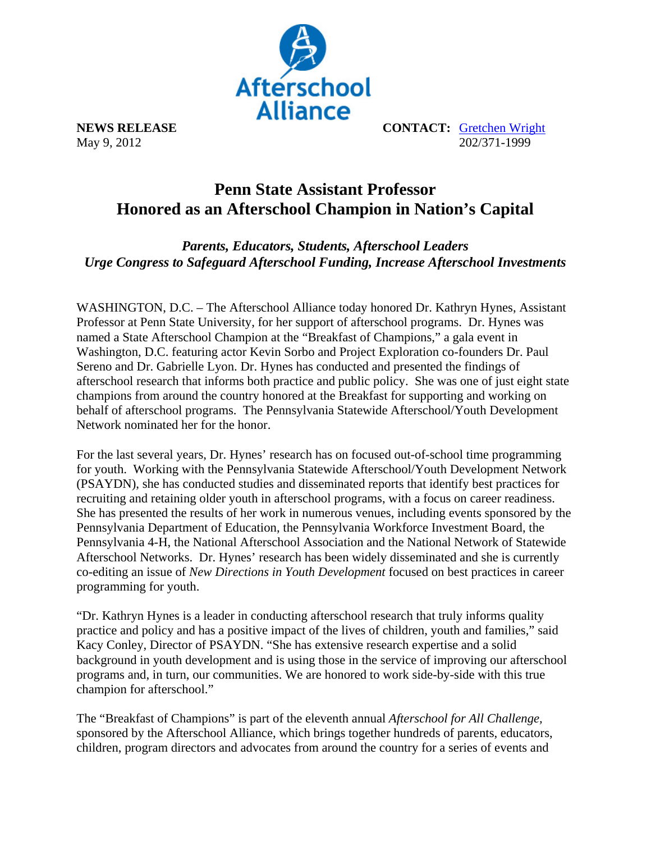

**NEWS RELEASE CONTACT:** Gretchen Wright May 9, 2012 202/371-1999

## **Penn State Assistant Professor Honored as an Afterschool Champion in Nation's Capital**

*Parents, Educators, Students, Afterschool Leaders Urge Congress to Safeguard Afterschool Funding, Increase Afterschool Investments* 

WASHINGTON, D.C. – The Afterschool Alliance today honored Dr. Kathryn Hynes, Assistant Professor at Penn State University, for her support of afterschool programs. Dr. Hynes was named a State Afterschool Champion at the "Breakfast of Champions," a gala event in Washington, D.C. featuring actor Kevin Sorbo and Project Exploration co-founders Dr. Paul Sereno and Dr. Gabrielle Lyon. Dr. Hynes has conducted and presented the findings of afterschool research that informs both practice and public policy. She was one of just eight state champions from around the country honored at the Breakfast for supporting and working on behalf of afterschool programs. The Pennsylvania Statewide Afterschool/Youth Development Network nominated her for the honor.

For the last several years, Dr. Hynes' research has on focused out-of-school time programming for youth. Working with the Pennsylvania Statewide Afterschool/Youth Development Network (PSAYDN), she has conducted studies and disseminated reports that identify best practices for recruiting and retaining older youth in afterschool programs, with a focus on career readiness. She has presented the results of her work in numerous venues, including events sponsored by the Pennsylvania Department of Education, the Pennsylvania Workforce Investment Board, the Pennsylvania 4-H, the National Afterschool Association and the National Network of Statewide Afterschool Networks. Dr. Hynes' research has been widely disseminated and she is currently co-editing an issue of *New Directions in Youth Development* focused on best practices in career programming for youth.

"Dr. Kathryn Hynes is a leader in conducting afterschool research that truly informs quality practice and policy and has a positive impact of the lives of children, youth and families," said Kacy Conley, Director of PSAYDN. "She has extensive research expertise and a solid background in youth development and is using those in the service of improving our afterschool programs and, in turn, our communities. We are honored to work side-by-side with this true champion for afterschool."

The "Breakfast of Champions" is part of the eleventh annual *Afterschool for All Challenge,* sponsored by the Afterschool Alliance, which brings together hundreds of parents, educators, children, program directors and advocates from around the country for a series of events and